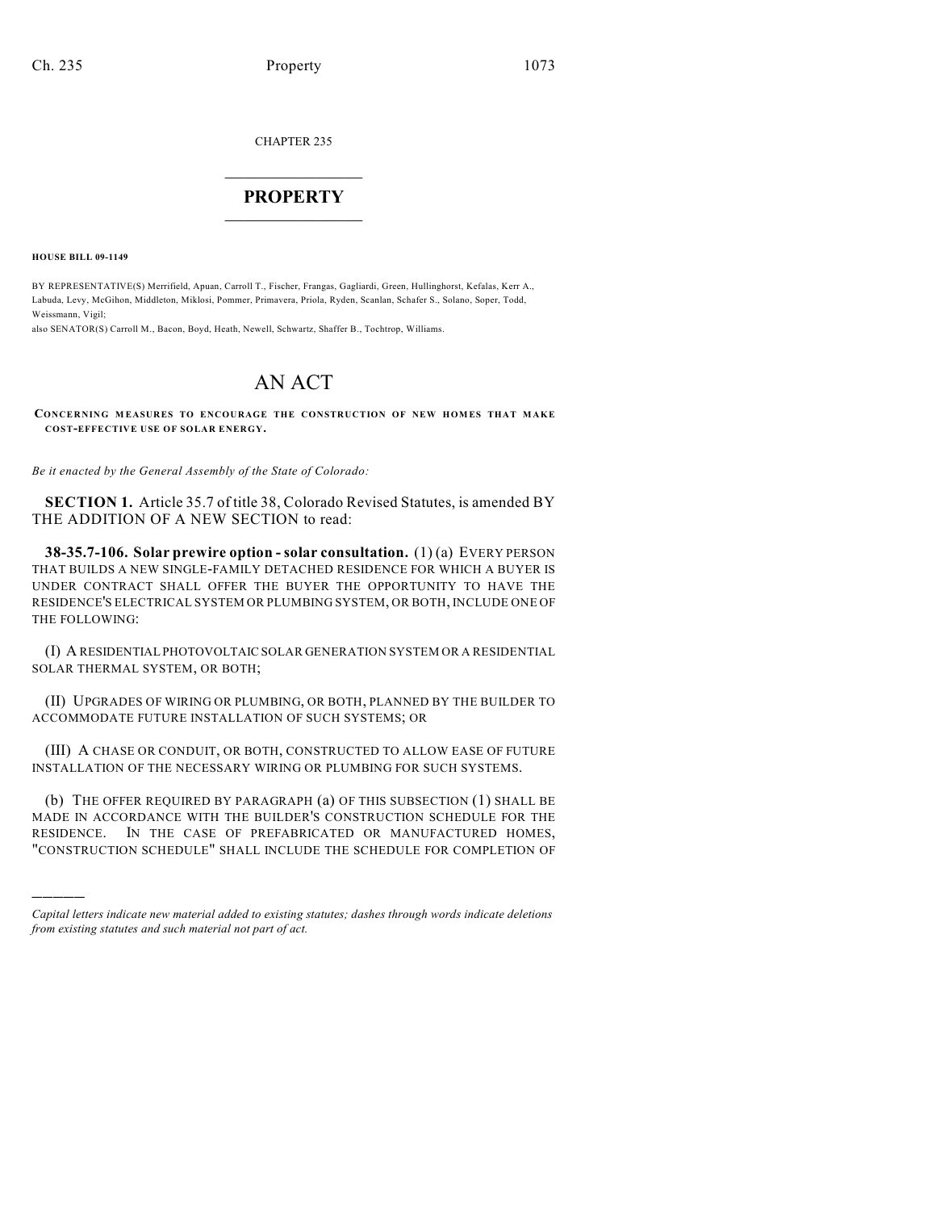CHAPTER 235

## $\overline{\phantom{a}}$  . The set of the set of the set of the set of the set of the set of the set of the set of the set of the set of the set of the set of the set of the set of the set of the set of the set of the set of the set o **PROPERTY**  $\_$   $\_$   $\_$   $\_$   $\_$   $\_$   $\_$   $\_$   $\_$

**HOUSE BILL 09-1149**

)))))

BY REPRESENTATIVE(S) Merrifield, Apuan, Carroll T., Fischer, Frangas, Gagliardi, Green, Hullinghorst, Kefalas, Kerr A., Labuda, Levy, McGihon, Middleton, Miklosi, Pommer, Primavera, Priola, Ryden, Scanlan, Schafer S., Solano, Soper, Todd, Weissmann, Vigil;

also SENATOR(S) Carroll M., Bacon, Boyd, Heath, Newell, Schwartz, Shaffer B., Tochtrop, Williams.

## AN ACT

**CONCERNING MEASURES TO ENCOURAGE THE CONSTRUCTION OF NEW HOMES THAT MAKE COST-EFFECTIVE USE OF SOLAR ENERGY.**

*Be it enacted by the General Assembly of the State of Colorado:*

**SECTION 1.** Article 35.7 of title 38, Colorado Revised Statutes, is amended BY THE ADDITION OF A NEW SECTION to read:

**38-35.7-106. Solar prewire option - solar consultation.** (1) (a) EVERY PERSON THAT BUILDS A NEW SINGLE-FAMILY DETACHED RESIDENCE FOR WHICH A BUYER IS UNDER CONTRACT SHALL OFFER THE BUYER THE OPPORTUNITY TO HAVE THE RESIDENCE'S ELECTRICAL SYSTEM OR PLUMBING SYSTEM, OR BOTH, INCLUDE ONE OF THE FOLLOWING:

(I) A RESIDENTIAL PHOTOVOLTAIC SOLAR GENERATION SYSTEM OR A RESIDENTIAL SOLAR THERMAL SYSTEM, OR BOTH;

(II) UPGRADES OF WIRING OR PLUMBING, OR BOTH, PLANNED BY THE BUILDER TO ACCOMMODATE FUTURE INSTALLATION OF SUCH SYSTEMS; OR

(III) A CHASE OR CONDUIT, OR BOTH, CONSTRUCTED TO ALLOW EASE OF FUTURE INSTALLATION OF THE NECESSARY WIRING OR PLUMBING FOR SUCH SYSTEMS.

(b) THE OFFER REQUIRED BY PARAGRAPH (a) OF THIS SUBSECTION (1) SHALL BE MADE IN ACCORDANCE WITH THE BUILDER'S CONSTRUCTION SCHEDULE FOR THE RESIDENCE. IN THE CASE OF PREFABRICATED OR MANUFACTURED HOMES, "CONSTRUCTION SCHEDULE" SHALL INCLUDE THE SCHEDULE FOR COMPLETION OF

*Capital letters indicate new material added to existing statutes; dashes through words indicate deletions from existing statutes and such material not part of act.*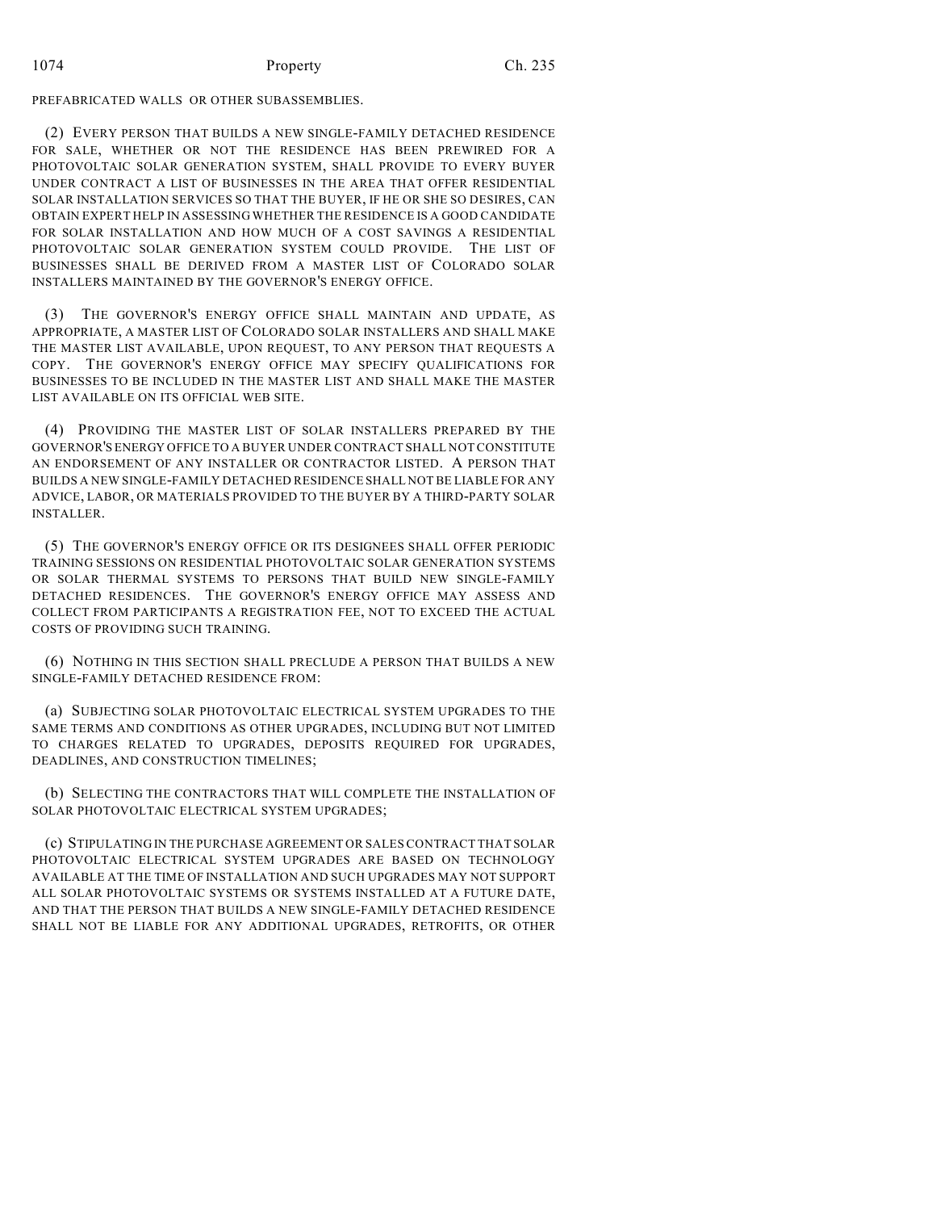## 1074 Property Ch. 235

PREFABRICATED WALLS OR OTHER SUBASSEMBLIES.

(2) EVERY PERSON THAT BUILDS A NEW SINGLE-FAMILY DETACHED RESIDENCE FOR SALE, WHETHER OR NOT THE RESIDENCE HAS BEEN PREWIRED FOR A PHOTOVOLTAIC SOLAR GENERATION SYSTEM, SHALL PROVIDE TO EVERY BUYER UNDER CONTRACT A LIST OF BUSINESSES IN THE AREA THAT OFFER RESIDENTIAL SOLAR INSTALLATION SERVICES SO THAT THE BUYER, IF HE OR SHE SO DESIRES, CAN OBTAIN EXPERT HELP IN ASSESSING WHETHER THE RESIDENCE IS A GOOD CANDIDATE FOR SOLAR INSTALLATION AND HOW MUCH OF A COST SAVINGS A RESIDENTIAL PHOTOVOLTAIC SOLAR GENERATION SYSTEM COULD PROVIDE. THE LIST OF BUSINESSES SHALL BE DERIVED FROM A MASTER LIST OF COLORADO SOLAR INSTALLERS MAINTAINED BY THE GOVERNOR'S ENERGY OFFICE.

(3) THE GOVERNOR'S ENERGY OFFICE SHALL MAINTAIN AND UPDATE, AS APPROPRIATE, A MASTER LIST OF COLORADO SOLAR INSTALLERS AND SHALL MAKE THE MASTER LIST AVAILABLE, UPON REQUEST, TO ANY PERSON THAT REQUESTS A COPY. THE GOVERNOR'S ENERGY OFFICE MAY SPECIFY QUALIFICATIONS FOR BUSINESSES TO BE INCLUDED IN THE MASTER LIST AND SHALL MAKE THE MASTER LIST AVAILABLE ON ITS OFFICIAL WEB SITE.

(4) PROVIDING THE MASTER LIST OF SOLAR INSTALLERS PREPARED BY THE GOVERNOR'S ENERGY OFFICE TO A BUYER UNDER CONTRACT SHALL NOT CONSTITUTE AN ENDORSEMENT OF ANY INSTALLER OR CONTRACTOR LISTED. A PERSON THAT BUILDS A NEW SINGLE-FAMILY DETACHED RESIDENCE SHALL NOT BE LIABLE FOR ANY ADVICE, LABOR, OR MATERIALS PROVIDED TO THE BUYER BY A THIRD-PARTY SOLAR INSTALLER.

(5) THE GOVERNOR'S ENERGY OFFICE OR ITS DESIGNEES SHALL OFFER PERIODIC TRAINING SESSIONS ON RESIDENTIAL PHOTOVOLTAIC SOLAR GENERATION SYSTEMS OR SOLAR THERMAL SYSTEMS TO PERSONS THAT BUILD NEW SINGLE-FAMILY DETACHED RESIDENCES. THE GOVERNOR'S ENERGY OFFICE MAY ASSESS AND COLLECT FROM PARTICIPANTS A REGISTRATION FEE, NOT TO EXCEED THE ACTUAL COSTS OF PROVIDING SUCH TRAINING.

(6) NOTHING IN THIS SECTION SHALL PRECLUDE A PERSON THAT BUILDS A NEW SINGLE-FAMILY DETACHED RESIDENCE FROM:

(a) SUBJECTING SOLAR PHOTOVOLTAIC ELECTRICAL SYSTEM UPGRADES TO THE SAME TERMS AND CONDITIONS AS OTHER UPGRADES, INCLUDING BUT NOT LIMITED TO CHARGES RELATED TO UPGRADES, DEPOSITS REQUIRED FOR UPGRADES, DEADLINES, AND CONSTRUCTION TIMELINES;

(b) SELECTING THE CONTRACTORS THAT WILL COMPLETE THE INSTALLATION OF SOLAR PHOTOVOLTAIC ELECTRICAL SYSTEM UPGRADES;

(c) STIPULATING IN THE PURCHASE AGREEMENT OR SALES CONTRACT THAT SOLAR PHOTOVOLTAIC ELECTRICAL SYSTEM UPGRADES ARE BASED ON TECHNOLOGY AVAILABLE AT THE TIME OF INSTALLATION AND SUCH UPGRADES MAY NOT SUPPORT ALL SOLAR PHOTOVOLTAIC SYSTEMS OR SYSTEMS INSTALLED AT A FUTURE DATE, AND THAT THE PERSON THAT BUILDS A NEW SINGLE-FAMILY DETACHED RESIDENCE SHALL NOT BE LIABLE FOR ANY ADDITIONAL UPGRADES, RETROFITS, OR OTHER